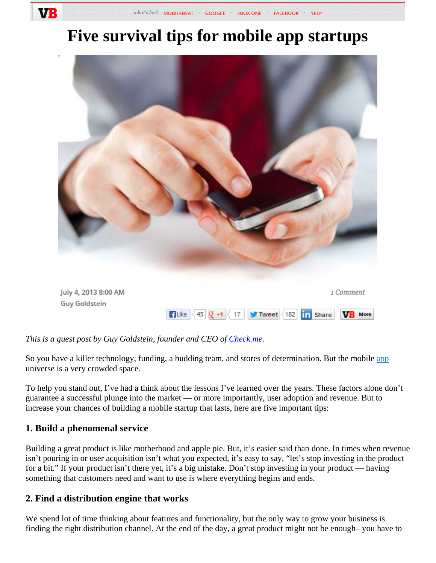# **Five survival tips for mobile app startups**



*This is a guest post by Guy Goldstein, founder and CEO of Check.me.*

So you have a killer technology, funding, a budding team, and stores of determination. But the mobile app universe is a very crowded space.

To help you stand out, I've had a think about the lessons I've learned over the years. These factors alone don't guarantee a successful plunge into the market — or more importantly, user adoption and revenue. But to increase your chances of building a mobile startup that lasts, here are five important tips:

# **1. Build a phenomenal service**

VB

Building a great product is like motherhood and apple pie. But, it's easier said than done. In times when revenue isn't pouring in or user acquisition isn't what you expected, it's easy to say, "let's stop investing in the product for a bit." If your product isn't there yet, it's a big mistake. Don't stop investing in your product — having something that customers need and want to use is where everything begins and ends.

### **2. Find a distribution engine that works**

We spend lot of time thinking about features and functionality, but the only way to grow your business is finding the right distribution channel. At the end of the day, a great product might not be enough– you have to